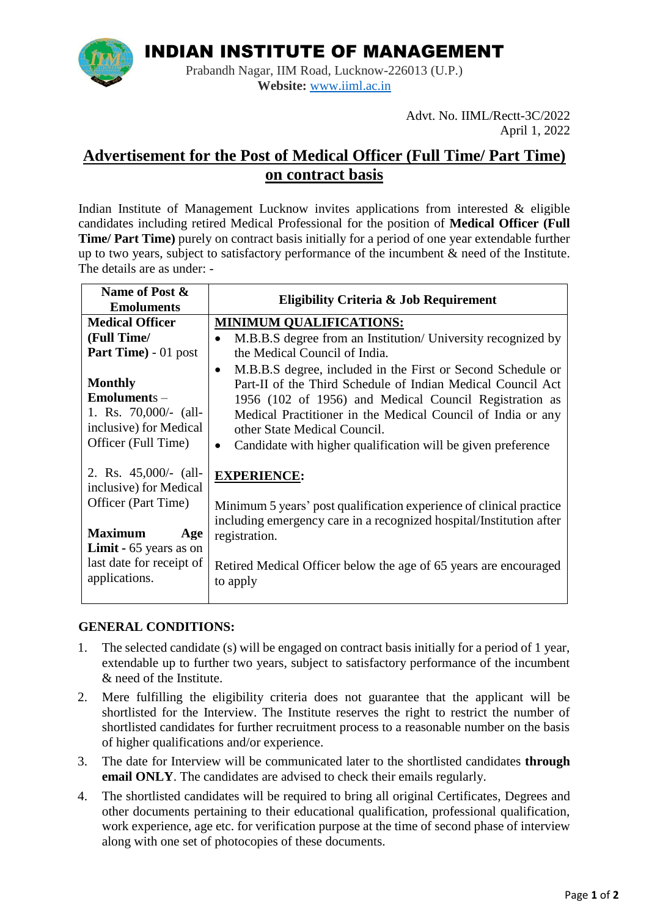

INDIAN INSTITUTE OF MANAGEMENT

Prabandh Nagar, IIM Road, Lucknow-226013 (U.P.) **Website:** [www.iiml.ac.in](http://www.iiml.ac.in/)

> Advt. No. IIML/Rectt-3C/2022 April 1, 2022

# **Advertisement for the Post of Medical Officer (Full Time/ Part Time) on contract basis**

Indian Institute of Management Lucknow invites applications from interested & eligible candidates including retired Medical Professional for the position of **Medical Officer (Full Time/ Part Time)** purely on contract basis initially for a period of one year extendable further up to two years, subject to satisfactory performance of the incumbent & need of the Institute. The details are as under: -

| Name of Post &                                     | <b>Eligibility Criteria &amp; Job Requirement</b>                   |
|----------------------------------------------------|---------------------------------------------------------------------|
| <b>Emoluments</b>                                  |                                                                     |
| <b>Medical Officer</b>                             | <b>MINIMUM QUALIFICATIONS:</b>                                      |
| (Full Time/                                        | M.B.B.S degree from an Institution/ University recognized by        |
| <b>Part Time</b> ) - 01 post                       | the Medical Council of India.                                       |
|                                                    | M.B.B.S degree, included in the First or Second Schedule or         |
| <b>Monthly</b>                                     | Part-II of the Third Schedule of Indian Medical Council Act         |
| $Emoluments -$                                     | 1956 (102 of 1956) and Medical Council Registration as              |
| 1. Rs. $70,000/(-$ (all-                           | Medical Practitioner in the Medical Council of India or any         |
| inclusive) for Medical                             | other State Medical Council.                                        |
| Officer (Full Time)                                | Candidate with higher qualification will be given preference        |
| 2. Rs. $45,000/(-$ (all-<br>inclusive) for Medical | <b>EXPERIENCE:</b>                                                  |
| Officer (Part Time)                                |                                                                     |
|                                                    | Minimum 5 years' post qualification experience of clinical practice |
| <b>Maximum</b><br>Age                              | including emergency care in a recognized hospital/Institution after |
| <b>Limit -</b> $65$ years as on                    | registration.                                                       |
| last date for receipt of                           |                                                                     |
| applications.                                      | Retired Medical Officer below the age of 65 years are encouraged    |
|                                                    | to apply                                                            |

## **GENERAL CONDITIONS:**

- 1. The selected candidate (s) will be engaged on contract basis initially for a period of 1 year, extendable up to further two years, subject to satisfactory performance of the incumbent & need of the Institute.
- 2. Mere fulfilling the eligibility criteria does not guarantee that the applicant will be shortlisted for the Interview. The Institute reserves the right to restrict the number of shortlisted candidates for further recruitment process to a reasonable number on the basis of higher qualifications and/or experience.
- 3. The date for Interview will be communicated later to the shortlisted candidates **through email ONLY**. The candidates are advised to check their emails regularly.
- 4. The shortlisted candidates will be required to bring all original Certificates, Degrees and other documents pertaining to their educational qualification, professional qualification, work experience, age etc. for verification purpose at the time of second phase of interview along with one set of photocopies of these documents.